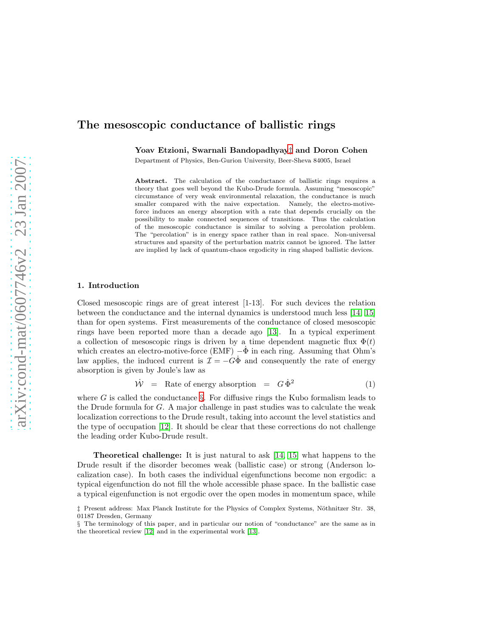# The mesoscopic conductance of ballistic rings

Yoav Etzioni, Swarnali Bandopadhyay[‡](#page-0-0) and Doron Cohen

Department of Physics, Ben-Gurion University, Beer-Sheva 84005, Israel

Abstract. The calculation of the conductance of ballistic rings requires a theory that goes well beyond the Kubo-Drude formula. Assuming "mesoscopic" circumstance of very weak environmental relaxation, the conductance is much smaller compared with the naive expectation. Namely, the electro-motiveforce induces an energy absorption with a rate that depends crucially on the possibility to make connected sequences of transitions. Thus the calculation of the mesoscopic conductance is similar to solving a percolation problem. The "percolation" is in energy space rather than in real space. Non-universal structures and sparsity of the perturbation matrix cannot be ignored. The latter are implied by lack of quantum-chaos ergodicity in ring shaped ballistic devices.

## 1. Introduction

Closed mesoscopic rings are of great interest [1-13]. For such devices the relation between the conductance and the internal dynamics is understood much less [\[14,](#page-16-0) [15\]](#page-16-1) than for open systems. First measurements of the conductance of closed mesoscopic rings have been reported more than a decade ago [\[13\]](#page-16-2). In a typical experiment a collection of mesoscopic rings is driven by a time dependent magnetic flux  $\Phi(t)$ which creates an electro-motive-force (EMF)  $-\Phi$  in each ring. Assuming that Ohm's law applies, the induced current is  $\mathcal{I} = -G\dot{\Phi}$  and consequently the rate of energy absorption is given by Joule's law as

$$
\dot{\mathcal{W}} = \text{Rate of energy absorption} = G\dot{\Phi}^2 \tag{1}
$$

<span id="page-0-2"></span>where  $G$  is called the conductance  $\S$ . For diffusive rings the Kubo formalism leads to the Drude formula for  $G$ . A major challenge in past studies was to calculate the weak localization corrections to the Drude result, taking into account the level statistics and the type of occupation [\[12\]](#page-16-3). It should be clear that these corrections do not challenge the leading order Kubo-Drude result.

Theoretical challenge: It is just natural to ask [\[14,](#page-16-0) [15\]](#page-16-1) what happens to the Drude result if the disorder becomes weak (ballistic case) or strong (Anderson localization case). In both cases the individual eigenfunctions become non ergodic: a typical eigenfunction do not fill the whole accessible phase space. In the ballistic case a typical eigenfunction is not ergodic over the open modes in momentum space, while

<span id="page-0-0"></span> $\ddagger$  Present address: Max Planck Institute for the Physics of Complex Systems, Nöthnitzer Str. 38, 01187 Dresden, Germany

<span id="page-0-1"></span><sup>§</sup> The terminology of this paper, and in particular our notion of "conductance" are the same as in the theoretical review [\[12\]](#page-16-3) and in the experimental work [\[13\]](#page-16-2).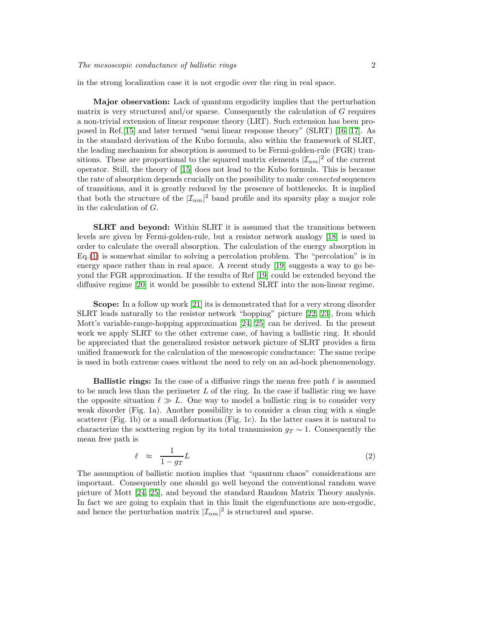in the strong localization case it is not ergodic over the ring in real space.

Major observation: Lack of quantum ergodicity implies that the perturbation matrix is very structured and/or sparse. Consequently the calculation of  $G$  requires a non-trivial extension of linear response theory (LRT). Such extension has been proposed in Ref.[\[15\]](#page-16-1) and later termed "semi linear response theory" (SLRT) [\[16,](#page-16-4) [17\]](#page-16-5). As in the standard derivation of the Kubo formula, also within the framework of SLRT, the leading mechanism for absorption is assumed to be Fermi-golden-rule (FGR) transitions. These are proportional to the squared matrix elements  $|\mathcal{I}_{nm}|^2$  of the current operator. Still, the theory of [\[15\]](#page-16-1) does not lead to the Kubo formula. This is because the rate of absorption depends crucially on the possibility to make *connected* sequences of transitions, and it is greatly reduced by the presence of bottlenecks. It is implied that both the structure of the  $|\mathcal{I}_{nm}|^2$  band profile and its sparsity play a major role in the calculation of G.

SLRT and beyond: Within SLRT it is assumed that the transitions between levels are given by Fermi-golden-rule, but a resistor network analogy [\[18\]](#page-16-6) is used in order to calculate the overall absorption. The calculation of the energy absorption in  $Eq.(1)$  $Eq.(1)$  is somewhat similar to solving a percolation problem. The "percolation" is in energy space rather than in real space. A recent study [\[19\]](#page-16-7) suggests a way to go beyond the FGR approximation. If the results of Ref [\[19\]](#page-16-7) could be extended beyond the diffusive regime [\[20\]](#page-16-8) it would be possible to extend SLRT into the non-linear regime.

Scope: In a follow up work [\[21\]](#page-16-9) its is demonstrated that for a very strong disorder SLRT leads naturally to the resistor network "hopping" picture [\[22,](#page-16-10) [23\]](#page-16-11), from which Mott's variable-range-hopping approximation [\[24,](#page-16-12) [25\]](#page-16-13) can be derived. In the present work we apply SLRT to the other extreme case, of having a ballistic ring. It should be appreciated that the generalized resistor network picture of SLRT provides a firm unified framework for the calculation of the mesoscopic conductance: The same recipe is used in both extreme cases without the need to rely on an ad-hock phenomenology.

Ballistic rings: In the case of a diffusive rings the mean free path  $\ell$  is assumed to be much less than the perimeter  $L$  of the ring. In the case if ballistic ring we have the opposite situation  $\ell \gg L$ . One way to model a ballistic ring is to consider very weak disorder (Fig. 1a). Another possibility is to consider a clean ring with a single scatterer (Fig. 1b) or a small deformation (Fig. 1c). In the latter cases it is natural to characterize the scattering region by its total transmission  $g_T \sim 1$ . Consequently the mean free path is

$$
\ell \approx \frac{1}{1 - g_T} L \tag{2}
$$

The assumption of ballistic motion implies that "quantum chaos" considerations are important. Consequently one should go well beyond the conventional random wave picture of Mott [\[24,](#page-16-12) [25\]](#page-16-13), and beyond the standard Random Matrix Theory analysis. In fact we are going to explain that in this limit the eigenfunctions are non-ergodic, and hence the perturbation matrix  $|\mathcal{I}_{nm}|^2$  is structured and sparse.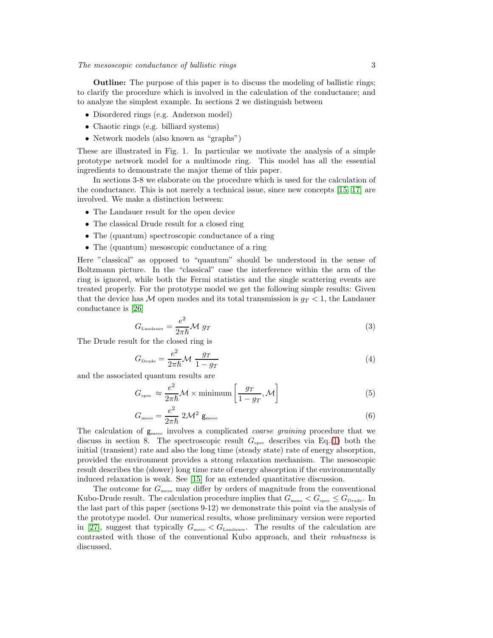Outline: The purpose of this paper is to discuss the modeling of ballistic rings; to clarify the procedure which is involved in the calculation of the conductance; and to analyze the simplest example. In sections 2 we distinguish between

- Disordered rings (e.g. Anderson model)
- Chaotic rings (e.g. billiard systems)
- Network models (also known as "graphs")

These are illustrated in Fig. 1. In particular we motivate the analysis of a simple prototype network model for a multimode ring. This model has all the essential ingredients to demonstrate the major theme of this paper.

In sections 3-8 we elaborate on the procedure which is used for the calculation of the conductance. This is not merely a technical issue, since new concepts [\[15,](#page-16-1) [17\]](#page-16-5) are involved. We make a distinction between:

- The Landauer result for the open device
- The classical Drude result for a closed ring
- The (quantum) spectroscopic conductance of a ring
- The (quantum) mesoscopic conductance of a ring

Here "classical" as opposed to "quantum" should be understood in the sense of Boltzmann picture. In the "classical" case the interference within the arm of the ring is ignored, while both the Fermi statistics and the single scattering events are treated properly. For the prototype model we get the following simple results: Given that the device has M open modes and its total transmission is  $g_T < 1$ , the Landauer conductance is [\[26\]](#page-16-14)

$$
G_{\text{Landauer}} = \frac{e^2}{2\pi\hbar} \mathcal{M} \; g_T \tag{3}
$$

<span id="page-2-1"></span><span id="page-2-0"></span>The Drude result for the closed ring is

$$
G_{\text{Drude}} = \frac{e^2}{2\pi\hbar} \mathcal{M} \frac{g_T}{1 - g_T} \tag{4}
$$

and the associated quantum results are

$$
G_{\text{spec}} \approx \frac{e^2}{2\pi\hbar} \mathcal{M} \times \text{minimum} \left[ \frac{g_T}{1 - g_T}, \mathcal{M} \right] \tag{5}
$$

$$
G_{\text{meso}} = \frac{e^2}{2\pi\hbar} 2\mathcal{M}^2 \mathbf{g}_{\text{meso}} \tag{6}
$$

The calculation of  $g_{\text{meso}}$  involves a complicated *coarse graining* procedure that we discuss in section 8. The spectroscopic result  $G_{\text{spec}}$  describes via Eq.[\(1\)](#page-0-2) both the initial (transient) rate and also the long time (steady state) rate of energy absorption, provided the environment provides a strong relaxation mechanism. The mesoscopic result describes the (slower) long time rate of energy absorption if the environmentally induced relaxation is weak. See [\[15\]](#page-16-1) for an extended quantitative discussion.

The outcome for  $G_{\text{meso}}$  may differ by orders of magnitude from the conventional Kubo-Drude result. The calculation procedure implies that  $G_{\text{meso}} < G_{\text{spec}} \leq G_{\text{Drude}}$ . In the last part of this paper (sections 9-12) we demonstrate this point via the analysis of the prototype model. Our numerical results, whose preliminary version were reported in [\[27\]](#page-16-15), suggest that typically  $G_{\text{meso}} < G_{\text{Landauer}}$ . The results of the calculation are contrasted with those of the conventional Kubo approach, and their robustness is discussed.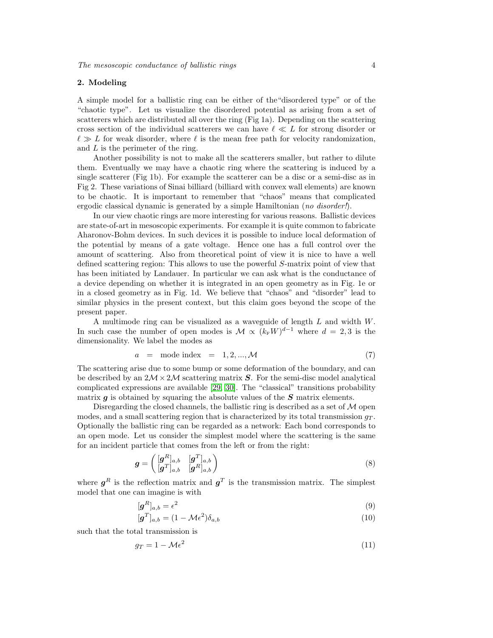## 2. Modeling

A simple model for a ballistic ring can be either of the"disordered type" or of the "chaotic type". Let us visualize the disordered potential as arising from a set of scatterers which are distributed all over the ring (Fig 1a). Depending on the scattering cross section of the individual scatterers we can have  $\ell \ll L$  for strong disorder or  $\ell \gg L$  for weak disorder, where  $\ell$  is the mean free path for velocity randomization, and L is the perimeter of the ring.

Another possibility is not to make all the scatterers smaller, but rather to dilute them. Eventually we may have a chaotic ring where the scattering is induced by a single scatterer (Fig 1b). For example the scatterer can be a disc or a semi-disc as in Fig 2. These variations of Sinai billiard (billiard with convex wall elements) are known to be chaotic. It is important to remember that "chaos" means that complicated ergodic classical dynamic is generated by a simple Hamiltonian (no disorder!).

In our view chaotic rings are more interesting for various reasons. Ballistic devices are state-of-art in mesoscopic experiments. For example it is quite common to fabricate Aharonov-Bohm devices. In such devices it is possible to induce local deformation of the potential by means of a gate voltage. Hence one has a full control over the amount of scattering. Also from theoretical point of view it is nice to have a well defined scattering region: This allows to use the powerful S-matrix point of view that has been initiated by Landauer. In particular we can ask what is the conductance of a device depending on whether it is integrated in an open geometry as in Fig. 1e or in a closed geometry as in Fig. 1d. We believe that "chaos" and "disorder" lead to similar physics in the present context, but this claim goes beyond the scope of the present paper.

A multimode ring can be visualized as a waveguide of length L and width W. In such case the number of open modes is  $\mathcal{M} \propto (k_{\rm F}W)^{d-1}$  where  $d = 2, 3$  is the dimensionality. We label the modes as

$$
a = \text{mode index} = 1, 2, ..., \mathcal{M} \tag{7}
$$

The scattering arise due to some bump or some deformation of the boundary, and can be described by an  $2M \times 2M$  scattering matrix S. For the semi-disc model analytical complicated expressions are available [\[29,](#page-16-16) [30\]](#page-16-17). The "classical" transitions probability matrix  $q$  is obtained by squaring the absolute values of the  $S$  matrix elements.

Disregarding the closed channels, the ballistic ring is described as a set of  $M$  open modes, and a small scattering region that is characterized by its total transmission  $g_T$ . Optionally the ballistic ring can be regarded as a network: Each bond corresponds to an open mode. Let us consider the simplest model where the scattering is the same for an incident particle that comes from the left or from the right:

$$
\boldsymbol{g} = \left( \begin{bmatrix} [\boldsymbol{g}^R]_{a,b} & [\boldsymbol{g}^T]_{a,b} \\ [\boldsymbol{g}^T]_{a,b} & [\boldsymbol{g}^R]_{a,b} \end{bmatrix} \right) \tag{8}
$$

<span id="page-3-0"></span>where  $g^R$  is the reflection matrix and  $g^T$  is the transmission matrix. The simplest model that one can imagine is with

$$
[\boldsymbol{g}^R]_{a,b} = \epsilon^2 \tag{9}
$$

$$
[\boldsymbol{g}^T]_{a,b} = (1 - \mathcal{M}\epsilon^2)\delta_{a,b} \tag{10}
$$

such that the total transmission is

$$
g_T = 1 - \mathcal{M}\epsilon^2 \tag{11}
$$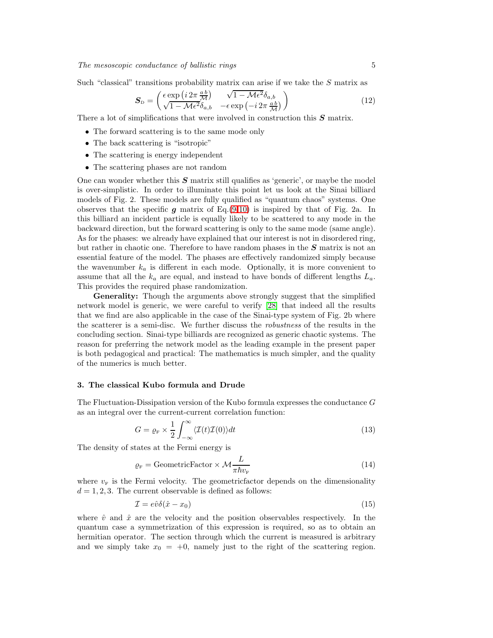Such "classical" transitions probability matrix can arise if we take the S matrix as

$$
\mathbf{S}_{\mathrm{D}} = \begin{pmatrix} \epsilon \exp\left(i2\pi \frac{ab}{\mathcal{M}}\right) & \sqrt{1 - \mathcal{M}\epsilon^2} \delta_{a,b} \\ \sqrt{1 - \mathcal{M}\epsilon^2} \delta_{a,b} & -\epsilon \exp\left(-i2\pi \frac{ab}{\mathcal{M}}\right) \end{pmatrix} \tag{12}
$$

There a lot of simplifications that were involved in construction this  $S$  matrix.

- The forward scattering is to the same mode only
- The back scattering is "isotropic"
- The scattering is energy independent
- The scattering phases are not random

One can wonder whether this  $S$  matrix still qualifies as 'generic', or maybe the model is over-simplistic. In order to illuminate this point let us look at the Sinai billiard models of Fig. 2. These models are fully qualified as "quantum chaos" systems. One observes that the specific  $g$  matrix of Eq. [\(9-10\)](#page-3-0) is inspired by that of Fig. 2a. In this billiard an incident particle is equally likely to be scattered to any mode in the backward direction, but the forward scattering is only to the same mode (same angle). As for the phases: we already have explained that our interest is not in disordered ring, but rather in chaotic one. Therefore to have random phases in the  $S$  matrix is not an essential feature of the model. The phases are effectively randomized simply because the wavenumber  $k_a$  is different in each mode. Optionally, it is more convenient to assume that all the  $k_a$  are equal, and instead to have bonds of different lengths  $L_a$ . This provides the required phase randomization.

Generality: Though the arguments above strongly suggest that the simplified network model is generic, we were careful to verify [\[28\]](#page-16-18) that indeed all the results that we find are also applicable in the case of the Sinai-type system of Fig. 2b where the scatterer is a semi-disc. We further discuss the robustness of the results in the concluding section. Sinai-type billiards are recognized as generic chaotic systems. The reason for preferring the network model as the leading example in the present paper is both pedagogical and practical: The mathematics is much simpler, and the quality of the numerics is much better.

# 3. The classical Kubo formula and Drude

The Fluctuation-Dissipation version of the Kubo formula expresses the conductance  $G$ as an integral over the current-current correlation function:

$$
G = \varrho_{\rm F} \times \frac{1}{2} \int_{-\infty}^{\infty} \langle \mathcal{I}(t) \mathcal{I}(0) \rangle dt \tag{13}
$$

<span id="page-4-0"></span>The density of states at the Fermi energy is

$$
\varrho_{\rm F} = \text{GeometricFactor} \times \mathcal{M} \frac{L}{\pi \hbar v_{\rm F}} \tag{14}
$$

where  $v_F$  is the Fermi velocity. The geometric factor depends on the dimensionality  $d = 1, 2, 3$ . The current observable is defined as follows:

$$
\mathcal{I} = e\hat{v}\delta(\hat{x} - x_0) \tag{15}
$$

where  $\hat{v}$  and  $\hat{x}$  are the velocity and the position observables respectively. In the quantum case a symmetrization of this expression is required, so as to obtain an hermitian operator. The section through which the current is measured is arbitrary and we simply take  $x_0 = +0$ , namely just to the right of the scattering region.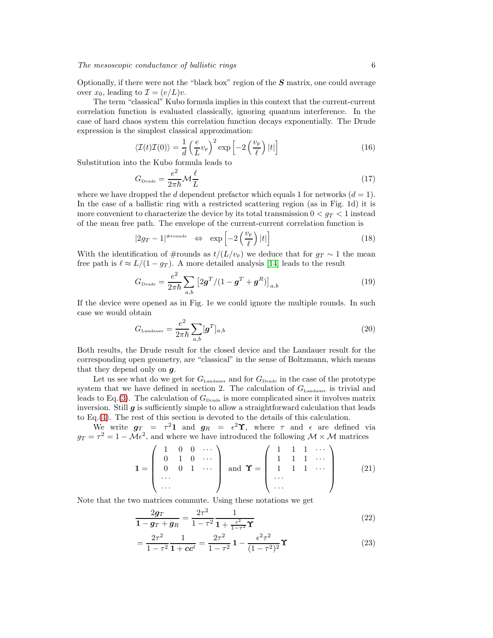Optionally, if there were not the "black box" region of the  $S$  matrix, one could average over  $x_0$ , leading to  $\mathcal{I} = (e/L)v$ .

The term "classical" Kubo formula implies in this context that the current-current correlation function is evaluated classically, ignoring quantum interference. In the case of hard chaos system this correlation function decays exponentially. The Drude expression is the simplest classical approximation:

$$
\langle \mathcal{I}(t)\mathcal{I}(0)\rangle = \frac{1}{d} \left(\frac{e}{L} v_{\rm F}\right)^2 \exp\left[-2\left(\frac{v_{\rm F}}{\ell}\right)|t|\right] \tag{16}
$$

Substitution into the Kubo formula leads to

$$
G_{\text{Drude}} = \frac{e^2}{2\pi\hbar} \mathcal{M}\frac{\ell}{L} \tag{17}
$$

where we have dropped the d dependent prefactor which equals 1 for networks  $(d = 1)$ . In the case of a ballistic ring with a restricted scattering region (as in Fig. 1d) it is more convenient to characterize the device by its total transmission  $0 < g_T < 1$  instead of the mean free path. The envelope of the current-current correlation function is

$$
|2g_T - 1|^{\#\text{rounds}} \iff \exp\left[-2\left(\frac{v_{\rm F}}{\ell}\right)|t|\right] \tag{18}
$$

With the identification of #rounds as  $t/(L/v<sub>F</sub>)$  we deduce that for  $g<sub>T</sub> \sim 1$  the mean free path is  $\ell \approx L/(1 - g_T)$ . A more detailed analysis [\[14\]](#page-16-0) leads to the result

$$
G_{\text{Drude}} = \frac{e^2}{2\pi\hbar} \sum_{a,b} \left[ 2g^T / (1 - g^T + g^R) \right]_{a,b}
$$
 (19)

If the device were opened as in Fig. 1e we could ignore the multiple rounds. In such case we would obtain

$$
G_{\text{Landauer}} = \frac{e^2}{2\pi\hbar} \sum_{a,b} [\mathbf{g}^T]_{a,b} \tag{20}
$$

Both results, the Drude result for the closed device and the Landauer result for the corresponding open geometry, are "classical" in the sense of Boltzmann, which means that they depend only on  $q$ .

Let us see what do we get for  $G_{\text{Landauer}}$  and for  $G_{\text{Drude}}$  in the case of the prototype system that we have defined in section 2. The calculation of  $G_{\text{Landauer}}$  is trivial and leads to Eq.[\(3\)](#page-2-0). The calculation of  $G_{\text{Drude}}$  is more complicated since it involves matrix inversion. Still  $g$  is sufficiently simple to allow a straightforward calculation that leads to Eq.[\(4\)](#page-2-1). The rest of this section is devoted to the details of this calculation.

We write  $g_T = \tau^2 \mathbf{1}$  and  $g_R = \epsilon^2 \mathbf{1}$ , where  $\tau$  and  $\epsilon$  are defined via  $g_T = \tau^2 = 1 - \mathcal{M}\epsilon^2$ , and where we have introduced the following  $\mathcal{M} \times \mathcal{M}$  matrices

$$
\mathbf{1} = \left( \begin{array}{cccc} 1 & 0 & 0 & \cdots \\ 0 & 1 & 0 & \cdots \\ 0 & 0 & 1 & \cdots \\ \cdots & \cdots & \cdots \end{array} \right) \text{ and } \mathbf{\Upsilon} = \left( \begin{array}{cccc} 1 & 1 & 1 & \cdots \\ 1 & 1 & 1 & \cdots \\ 1 & 1 & 1 & \cdots \\ \cdots & \cdots & \cdots \end{array} \right) \tag{21}
$$

Note that the two matrices commute. Using these notations we get

$$
\frac{2g_T}{1 - g_T + g_R} = \frac{2\tau^2}{1 - \tau^2} \frac{1}{1 + \frac{\epsilon^2}{1 - \tau^2} \Upsilon}
$$
(22)

$$
=\frac{2\tau^2}{1-\tau^2}\frac{1}{1+cc^t}=\frac{2\tau^2}{1-\tau^2}\mathbf{1}-\frac{\epsilon^2\tau^2}{(1-\tau^2)^2}\mathbf{\Upsilon}
$$
(23)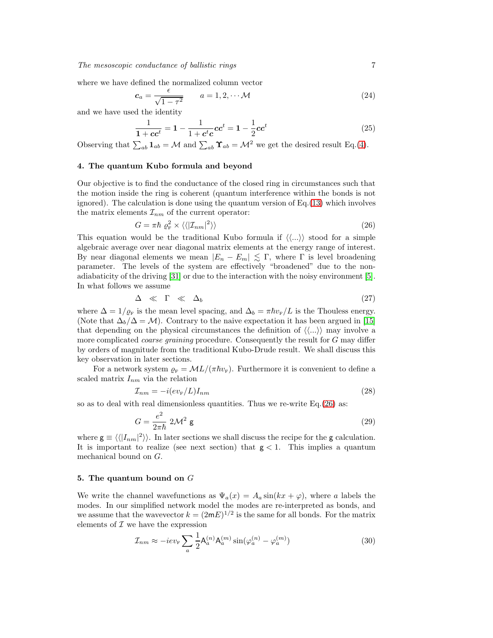where we have defined the normalized column vector

$$
c_a = \frac{\epsilon}{\sqrt{1 - \tau^2}} \qquad a = 1, 2, \cdots \mathcal{M}
$$
 (24)

and we have used the identity

$$
\frac{1}{1+cc^t} = 1 - \frac{1}{1+ctc}cc^t = 1 - \frac{1}{2}cc^t
$$
\n(25)

Observing that  $\sum_{ab} \mathbf{1}_{ab} = \mathcal{M}$  and  $\sum_{ab} \mathbf{\Upsilon}_{ab} = \mathcal{M}^2$  we get the desired result Eq.[\(4\)](#page-2-1).

# 4. The quantum Kubo formula and beyond

Our objective is to find the conductance of the closed ring in circumstances such that the motion inside the ring is coherent (quantum interference within the bonds is not ignored). The calculation is done using the quantum version of  $Eq.(13)$  $Eq.(13)$  which involves the matrix elements  $\mathcal{I}_{nm}$  of the current operator:

$$
G = \pi \hbar \varrho_{\rm F}^2 \times \langle \langle | \mathcal{I}_{nm} |^2 \rangle \rangle \tag{26}
$$

<span id="page-6-0"></span>This equation would be the traditional Kubo formula if  $\langle\langle ...\rangle$  stood for a simple algebraic average over near diagonal matrix elements at the energy range of interest. By near diagonal elements we mean  $|E_n - E_m| \leq \Gamma$ , where  $\Gamma$  is level broadening parameter. The levels of the system are effectively "broadened" due to the nonadiabaticity of the driving [\[31\]](#page-16-19) or due to the interaction with the noisy environment [\[5\]](#page-16-20). In what follows we assume

$$
\Delta \ll \Gamma \ll \Delta_b \tag{27}
$$

<span id="page-6-2"></span>where  $\Delta = 1/\rho_F$  is the mean level spacing, and  $\Delta_b = \pi \hbar v_F/L$  is the Thouless energy. (Note that  $\Delta_b/\Delta = \mathcal{M}$ ). Contrary to the naive expectation it has been argued in [\[15\]](#page-16-1) that depending on the physical circumstances the definition of  $\langle \langle ... \rangle \rangle$  may involve a more complicated *coarse graining* procedure. Consequently the result for G may differ by orders of magnitude from the traditional Kubo-Drude result. We shall discuss this key observation in later sections.

For a network system  $\rho_F = \mathcal{M} L/(\pi \hbar v_F)$ . Furthermore it is convenient to define a scaled matrix  $I_{nm}$  via the relation

$$
\mathcal{I}_{nm} = -i(e v_{\rm F}/L) I_{nm} \tag{28}
$$

<span id="page-6-1"></span>so as to deal with real dimensionless quantities. Thus we re-write  $Eq.(26)$  $Eq.(26)$  as:

$$
G = \frac{e^2}{2\pi\hbar} 2\mathcal{M}^2 \mathbf{g} \tag{29}
$$

<span id="page-6-3"></span>where  $g \equiv \langle \langle |I_{nm}|^2 \rangle \rangle$ . In later sections we shall discuss the recipe for the g calculation. It is important to realize (see next section) that  $g < 1$ . This implies a quantum mechanical bound on G.

# 5. The quantum bound on  $G$

We write the channel wavefunctions as  $\Psi_a(x) = A_a \sin(kx + \varphi)$ , where a labels the modes. In our simplified network model the modes are re-interpreted as bonds, and we assume that the wavevector  $k = (2mE)^{1/2}$  is the same for all bonds. For the matrix elements of  $\mathcal I$  we have the expression

$$
\mathcal{I}_{nm} \approx -ie v_{\rm F} \sum_{a} \frac{1}{2} A_a^{(n)} A_a^{(m)} \sin(\varphi_a^{(n)} - \varphi_a^{(m)}) \tag{30}
$$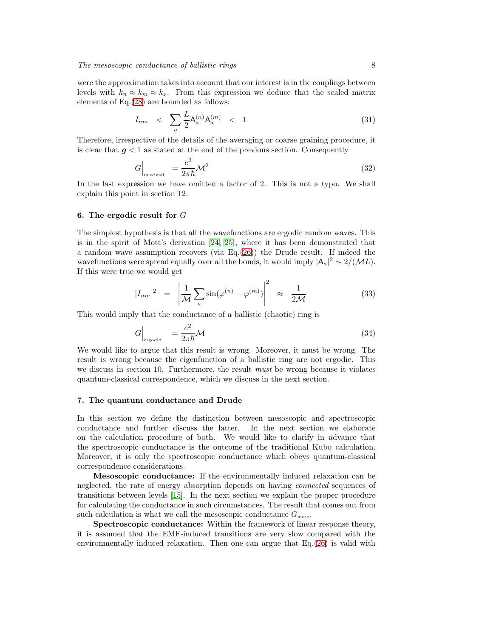were the approximation takes into account that our interest is in the couplings between levels with  $k_n \approx k_m \approx k_F$ . From this expression we deduce that the scaled matrix elements of Eq.[\(28\)](#page-6-1) are bounded as follows:

$$
I_{nm} \quad < \quad \sum_{a} \frac{L}{2} \mathsf{A}_{a}^{(n)} \mathsf{A}_{a}^{(m)} \quad < \quad 1 \tag{31}
$$

Therefore, irrespective of the details of the averaging or coarse graining procedure, it is clear that  $g < 1$  as stated at the end of the previous section. Consequently

$$
G\Big|_{\text{maximal}} = \frac{e^2}{2\pi\hbar} \mathcal{M}^2 \tag{32}
$$

<span id="page-7-1"></span>In the last expression we have omitted a factor of 2. This is not a typo. We shall explain this point in section 12.

#### 6. The ergodic result for  $G$

The simplest hypothesis is that all the wavefunctions are ergodic random waves. This is in the spirit of Mott's derivation [\[24,](#page-16-12) [25\]](#page-16-13), where it has been demonstrated that a random wave assumption recovers (via  $Eq.(26)$  $Eq.(26)$ ) the Drude result. If indeed the wavefunctions were spread equally over all the bonds, it would imply  $|A_a|^2 \sim 2/(\mathcal{M}L)$ . If this were true we would get

$$
|I_{nm}|^2 = \left| \frac{1}{\mathcal{M}} \sum_a \sin(\varphi^{(n)} - \varphi^{(m)}) \right|^2 \approx \frac{1}{2\mathcal{M}} \tag{33}
$$

<span id="page-7-0"></span>This would imply that the conductance of a ballistic (chaotic) ring is

$$
G\Big|_{\text{ergodic}} = \frac{e^2}{2\pi\hbar} \mathcal{M} \tag{34}
$$

We would like to argue that this result is wrong. Moreover, it must be wrong. The result is wrong because the eigenfunction of a ballistic ring are not ergodic. This we discuss in section 10. Furthermore, the result *must* be wrong because it violates quantum-classical correspondence, which we discuss in the next section.

## 7. The quantum conductance and Drude

In this section we define the distinction between mesoscopic and spectroscopic conductance and further discuss the latter. In the next section we elaborate on the calculation procedure of both. We would like to clarify in advance that the spectroscopic conductance is the outcome of the traditional Kubo calculation. Moreover, it is only the spectroscopic conductance which obeys quantum-classical correspondence considerations.

Mesoscopic conductance: If the environmentally induced relaxation can be neglected, the rate of energy absorption depends on having *connected* sequences of transitions between levels [\[15\]](#page-16-1). In the next section we explain the proper procedure for calculating the conductance in such circumstances. The result that comes out from such calculation is what we call the mesoscopic conductance  $G_{\text{meso}}$ .

Spectroscopic conductance: Within the framework of linear response theory, it is assumed that the EMF-induced transitions are very slow compared with the environmentally induced relaxation. Then one can argue that Eq.[\(26\)](#page-6-0) is valid with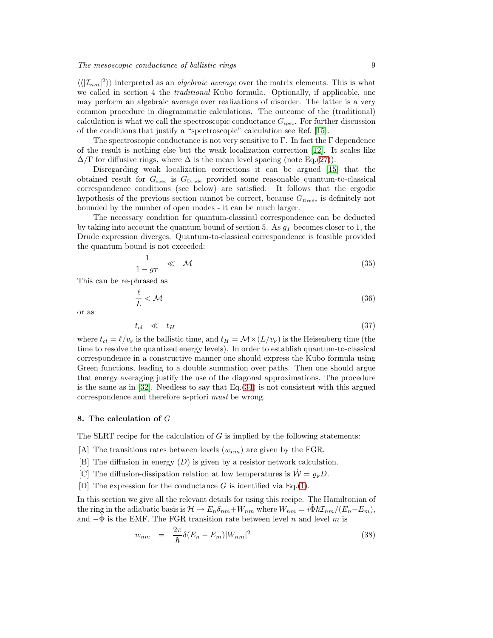$\langle\langle | \mathcal{I}_{nm} |^2 \rangle\rangle$  interpreted as an *algebraic average* over the matrix elements. This is what we called in section 4 the *traditional* Kubo formula. Optionally, if applicable, one may perform an algebraic average over realizations of disorder. The latter is a very common procedure in diagrammatic calculations. The outcome of the (traditional) calculation is what we call the spectroscopic conductance  $G_{\text{spec}}$ . For further discussion of the conditions that justify a "spectroscopic" calculation see Ref. [\[15\]](#page-16-1).

The spectroscopic conductance is not very sensitive to  $\Gamma$ . In fact the  $\Gamma$  dependence of the result is nothing else but the weak localization correction [\[12\]](#page-16-3). It scales like  $\Delta/\Gamma$  for diffusive rings, where  $\Delta$  is the mean level spacing (note Eq.[\(27\)](#page-6-2)).

Disregarding weak localization corrections it can be argued [\[15\]](#page-16-1) that the obtained result for  $G_{spec}$  is  $G_{Drude}$  provided some reasonable quantum-to-classical correspondence conditions (see below) are satisfied. It follows that the ergodic hypothesis of the previous section cannot be correct, because  $G_{Drude}$  is definitely not bounded by the number of open modes - it can be much larger.

The necessary condition for quantum-classical correspondence can be deducted by taking into account the quantum bound of section 5. As  $q_T$  becomes closer to 1, the Drude expression diverges. Quantum-to-classical correspondence is feasible provided the quantum bound is not exceeded:

$$
\frac{1}{1 - g_T} \quad \ll \quad \mathcal{M} \tag{35}
$$

This can be re-phrased as

$$
\frac{\ell}{L} < \mathcal{M} \tag{36}
$$

or as

$$
t_{cl} \ll t_H \tag{37}
$$

where  $t_{cl} = \ell/v_F$  is the ballistic time, and  $t_H = \mathcal{M} \times (L/v_F)$  is the Heisenberg time (the time to resolve the quantized energy levels). In order to establish quantum-to-classical correspondence in a constructive manner one should express the Kubo formula using Green functions, leading to a double summation over paths. Then one should argue that energy averaging justify the use of the diagonal approximations. The procedure is the same as in [\[32\]](#page-16-21). Needless to say that  $Eq.(34)$  $Eq.(34)$  is not consistent with this argued correspondence and therefore a-priori must be wrong.

#### 8. The calculation of  $G$

The SLRT recipe for the calculation of  $G$  is implied by the following statements:

- [A] The transitions rates between levels  $(w_{nm})$  are given by the FGR.
- [B] The diffusion in energy (D) is given by a resistor network calculation.
- [C] The diffusion-dissipation relation at low temperatures is  $\dot{W} = \varrho_{\rm F} D$ .
- [D] The expression for the conductance  $G$  is identified via Eq.[\(1\)](#page-0-2).

<span id="page-8-0"></span>In this section we give all the relevant details for using this recipe. The Hamiltonian of the ring in the adiabatic basis is  $\mathcal{H} \to E_n \delta_{nm} + W_{nm}$  where  $W_{nm} = i\dot{\Phi} \hbar \mathcal{I}_{nm}/(E_n - E_m)$ , and  $-\Phi$  is the EMF. The FGR transition rate between level n and level m is

$$
w_{nm} = \frac{2\pi}{\hbar} \delta(E_n - E_m) |W_{nm}|^2 \tag{38}
$$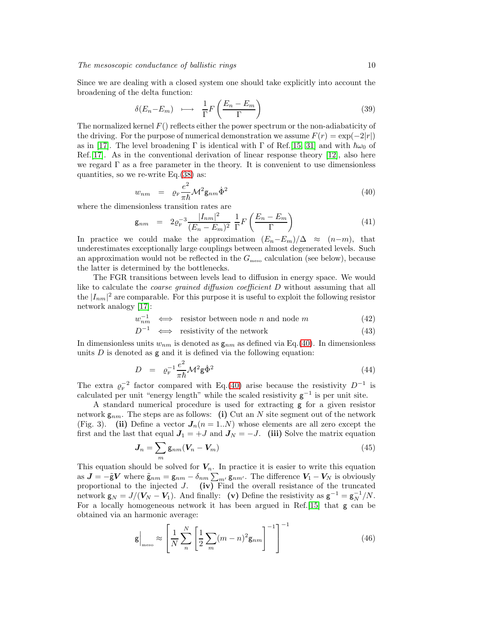Since we are dealing with a closed system one should take explicitly into account the broadening of the delta function:

$$
\delta(E_n - E_m) \longrightarrow \frac{1}{\Gamma} F\left(\frac{E_n - E_m}{\Gamma}\right) \tag{39}
$$

The normalized kernel  $F()$  reflects either the power spectrum or the non-adiabaticity of the driving. For the purpose of numerical demonstration we assume  $F(r) = \exp(-2|r|)$ as in [\[17\]](#page-16-5). The level broadening Γ is identical with Γ of Ref.[\[15,](#page-16-1) [31\]](#page-16-19) and with  $\hbar\omega_0$  of Ref.  $[17]$ . As in the conventional derivation of linear response theory  $[12]$ , also here we regard  $\Gamma$  as a free parameter in the theory. It is convenient to use dimensionless quantities, so we re-write  $Eq.(38)$  $Eq.(38)$  as:

$$
w_{nm} = \varrho_{\rm F} \frac{e^2}{\pi \hbar} \mathcal{M}^2 \mathsf{g}_{nm} \dot{\Phi}^2 \tag{40}
$$

<span id="page-9-1"></span><span id="page-9-0"></span>where the dimensionless transition rates are

$$
\mathbf{g}_{nm} = 2\varrho_{\rm F}^{-3} \frac{|I_{nm}|^2}{(E_n - E_m)^2} \frac{1}{\Gamma} F\left(\frac{E_n - E_m}{\Gamma}\right) \tag{41}
$$

In practice we could make the approximation  $(E_n-E_m)/\Delta \approx (n-m)$ , that underestimates exceptionally large couplings between almost degenerated levels. Such an approximation would not be reflected in the  $G_{\text{meso}}$  calculation (see below), because the latter is determined by the bottlenecks.

The FGR transitions between levels lead to diffusion in energy space. We would like to calculate the *coarse grained diffusion coefficient* D without assuming that all the  $|I_{nm}|^2$  are comparable. For this purpose it is useful to exploit the following resistor network analogy [\[17\]](#page-16-5):

$$
w_{nm}^{-1} \iff \text{resistor between node } n \text{ and node } m \tag{42}
$$

$$
D^{-1} \iff \text{resistivity of the network} \tag{43}
$$

In dimensionless units  $w_{nm}$  is denoted as  $g_{nm}$  as defined via Eq.[\(40\)](#page-9-0). In dimensionless units  $D$  is denoted as  $g$  and it is defined via the following equation:

$$
D = \varrho_{\rm F}^{-1} \frac{e^2}{\pi \hbar} \mathcal{M}^2 \mathsf{g} \dot{\Phi}^2 \tag{44}
$$

The extra  $\varrho_{\rm F}^{-2}$  factor compared with Eq.[\(40\)](#page-9-0) arise because the resistivity  $D^{-1}$  is calculated per unit "energy length" while the scaled resistivity  $g^{-1}$  is per unit site.

A standard numerical procedure is used for extracting g for a given resistor network  $g_{nm}$ . The steps are as follows: (i) Cut an N site segment out of the network (Fig. 3). (ii) Define a vector  $J_n(n = 1..N)$  whose elements are all zero except the first and the last that equal  $J_1 = +J$  and  $J_N = -J$ . (iii) Solve the matrix equation

$$
J_n = \sum_m g_{nm} (V_n - V_m) \tag{45}
$$

This equation should be solved for  $V_n$ . In practice it is easier to write this equation as  $J = -\tilde{g}V$  where  $\tilde{g}_{nm} = g_{nm} - \delta_{nm} \sum_{m'} g_{nm'}$ . The difference  $V_1 - V_N$  is obviously proportional to the injected  $J.$  (iv) Find the overall resistance of the truncated network  $\mathbf{g}_N = J/(\mathbf{V}_N - \mathbf{V}_1)$ . And finally: (v) Define the resistivity as  $\mathbf{g}^{-1} = \mathbf{g}_N^{-1}/N$ . For a locally homogeneous network it has been argued in Ref.[\[15\]](#page-16-1) that g can be obtained via an harmonic average:

<span id="page-9-2"></span>
$$
\mathbf{g}\Big|_{\text{meso}} \approx \left[\frac{1}{N}\sum_{n}^{N}\left[\frac{1}{2}\sum_{m}(m-n)^{2}\mathbf{g}_{nm}\right]^{-1}\right]^{-1} \tag{46}
$$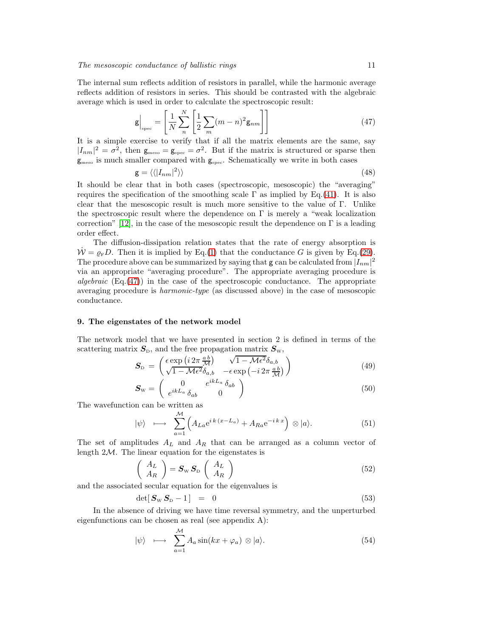The internal sum reflects addition of resistors in parallel, while the harmonic average reflects addition of resistors in series. This should be contrasted with the algebraic average which is used in order to calculate the spectroscopic result:

$$
\mathbf{g}\Big|_{\text{spec}} = \left[\frac{1}{N}\sum_{n}^{N}\left[\frac{1}{2}\sum_{m}(m-n)^{2}\mathbf{g}_{nm}\right]\right]
$$
(47)

<span id="page-10-0"></span>It is a simple exercise to verify that if all the matrix elements are the same, say  $|I_{nm}|^2 = \sigma^2$ , then  $g_{\text{meso}} = g_{\text{spec}} = \sigma^2$ . But if the matrix is structured or sparse then  $g_{\text{meso}}$  is much smaller compared with  $g_{\text{spec}}$ . Schematically we write in both cases

$$
\mathbf{g} = \langle \langle |I_{nm}|^2 \rangle \rangle \tag{48}
$$

It should be clear that in both cases (spectroscopic, mesoscopic) the "averaging" requires the specification of the smoothing scale  $\Gamma$  as implied by Eq.[\(41\)](#page-9-1). It is also clear that the mesoscopic result is much more sensitive to the value of Γ. Unlike the spectroscopic result where the dependence on  $\Gamma$  is merely a "weak localization" correction" [\[12\]](#page-16-3), in the case of the mesoscopic result the dependence on  $\Gamma$  is a leading order effect.

The diffusion-dissipation relation states that the rate of energy absorption is  $W = \rho_{\rm F} D$ . Then it is implied by Eq.[\(1\)](#page-0-2) that the conductance G is given by Eq.[\(29\)](#page-6-3). The procedure above can be summarized by saying that  $g$  can be calculated from  $|I_{nm}|^2$ via an appropriate "averaging procedure". The appropriate averaging procedure is algebraic  $(Eq.47)$  in the case of the spectroscopic conductance. The appropriate averaging procedure is harmonic-type (as discussed above) in the case of mesoscopic conductance.

#### 9. The eigenstates of the network model

The network model that we have presented in section 2 is defined in terms of the scattering matrix  $S_{\text{D}}$ , and the free propagation matrix  $S_{\text{W}}$ ,

$$
\mathbf{S}_{\mathrm{D}} = \begin{pmatrix} \epsilon \exp\left(i2\pi \frac{ab}{\mathcal{M}}\right) & \sqrt{1 - \mathcal{M}\epsilon^2} \delta_{a,b} \\ \sqrt{1 - \mathcal{M}\epsilon^2} \delta_{a,b} & -\epsilon \exp\left(-i2\pi \frac{ab}{\mathcal{M}}\right) \end{pmatrix} \tag{49}
$$

$$
\mathbf{S}_{\rm w} = \left( \begin{array}{cc} 0 & e^{ikL_a} \delta_{ab} \\ e^{ikL_a} \delta_{ab} & 0 \end{array} \right) \tag{50}
$$

The wavefunction can be written as

$$
|\psi\rangle \longmapsto \sum_{a=1}^{M} \left( A_{La} e^{i k (x - L_a)} + A_{Ra} e^{-i k x} \right) \otimes |a\rangle. \tag{51}
$$

The set of amplitudes  $A_L$  and  $A_R$  that can be arranged as a column vector of length  $2M$ . The linear equation for the eigenstates is

$$
\left(\begin{array}{c} A_L \\ A_R \end{array}\right) = \mathbf{S}_{\rm W} \mathbf{S}_{\rm D} \left(\begin{array}{c} A_L \\ A_R \end{array}\right) \tag{52}
$$

and the associated secular equation for the eigenvalues is

$$
\det[\,\mathbf{S}_{\mathrm{w}}\,\mathbf{S}_{\mathrm{D}}-1\,]\quad =\quad 0\tag{53}
$$

In the absence of driving we have time reversal symmetry, and the unperturbed eigenfunctions can be chosen as real (see appendix A):

$$
|\psi\rangle \longmapsto \sum_{a=1}^{M} A_a \sin(kx + \varphi_a) \otimes |a\rangle. \tag{54}
$$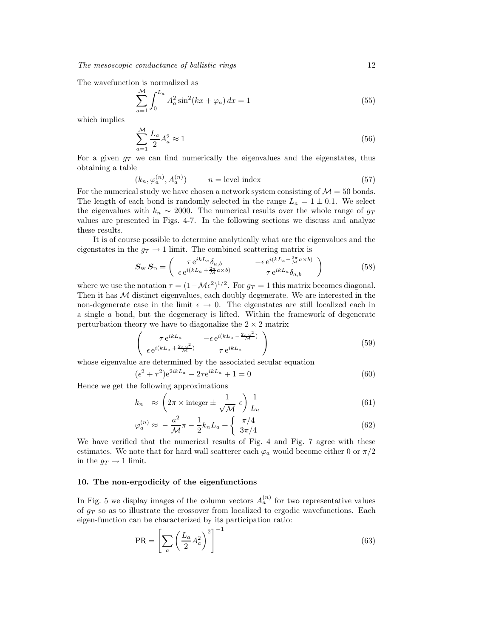The wavefunction is normalized as

$$
\sum_{a=1}^{M} \int_{0}^{L_a} A_a^2 \sin^2(kx + \varphi_a) \, dx = 1 \tag{55}
$$

which implies

$$
\sum_{a=1}^{M} \frac{L_a}{2} A_a^2 \approx 1\tag{56}
$$

For a given  $g_T$  we can find numerically the eigenvalues and the eigenstates, thus obtaining a table

$$
(k_n, \varphi_a^{(n)}, A_a^{(n)}) \qquad n = \text{level index} \tag{57}
$$

For the numerical study we have chosen a network system consisting of  $\mathcal{M} = 50$  bonds. The length of each bond is randomly selected in the range  $L_a = 1 \pm 0.1$ . We select the eigenvalues with  $k_n \sim 2000$ . The numerical results over the whole range of  $g_T$ values are presented in Figs. 4-7. In the following sections we discuss and analyze these results.

It is of course possible to determine analytically what are the eigenvalues and the eigenstates in the  $g_T \to 1$  limit. The combined scattering matrix is

$$
\mathbf{S}_{\mathrm{w}}\,\mathbf{S}_{\mathrm{p}} = \left(\begin{array}{cc} \tau \,\mathrm{e}^{ikL_a} \delta_{a,b} & -\epsilon \,\mathrm{e}^{i(kL_a - \frac{2\pi}{\mathcal{M}} a \times b)} \\ \epsilon \,\mathrm{e}^{i(kL_a + \frac{2\pi}{\mathcal{M}} a \times b)} & \tau \,\mathrm{e}^{ikL_a} \delta_{a,b} \end{array}\right) \tag{58}
$$

where we use the notation  $\tau = (1 - \mathcal{M} \epsilon^2)^{1/2}$ . For  $g_T = 1$  this matrix becomes diagonal. Then it has  $M$  distinct eigenvalues, each doubly degenerate. We are interested in the non-degenerate case in the limit  $\epsilon \to 0$ . The eigenstates are still localized each in a single a bond, but the degeneracy is lifted. Within the framework of degenerate perturbation theory we have to diagonalize the  $2 \times 2$  matrix

$$
\begin{pmatrix}\n\tau e^{ikL_a} & -\epsilon e^{i(kL_a - \frac{2\pi a^2}{\mathcal{M}})} \\
\epsilon e^{i(kL_a + \frac{2\pi a^2}{\mathcal{M}})} & \tau e^{ikL_a}\n\end{pmatrix}
$$
\n(59)

whose eigenvalue are determined by the associated secular equation

$$
(\epsilon^2 + \tau^2) e^{2ikL_a} - 2\tau e^{ikL_a} + 1 = 0 \tag{60}
$$

<span id="page-11-0"></span>Hence we get the following approximations

$$
k_n \approx \left(2\pi \times \text{integer} \pm \frac{1}{\sqrt{\mathcal{M}}} \epsilon\right) \frac{1}{L_a} \tag{61}
$$

$$
\varphi_a^{(n)} \approx -\frac{a^2}{\mathcal{M}} \pi - \frac{1}{2} k_n L_a + \begin{cases} \pi/4\\ 3\pi/4 \end{cases}
$$
 (62)

We have verified that the numerical results of Fig. 4 and Fig. 7 agree with these estimates. We note that for hard wall scatterer each  $\varphi_a$  would become either 0 or  $\pi/2$ in the  $g_T \rightarrow 1$  limit.

## 10. The non-ergodicity of the eigenfunctions

In Fig. 5 we display images of the column vectors  $A_a^{(n)}$  for two representative values of  $q_T$  so as to illustrate the crossover from localized to ergodic wavefunctions. Each eigen-function can be characterized by its participation ratio:

$$
PR = \left[\sum_{a} \left(\frac{L_a}{2} A_a^2\right)^2\right]^{-1} \tag{63}
$$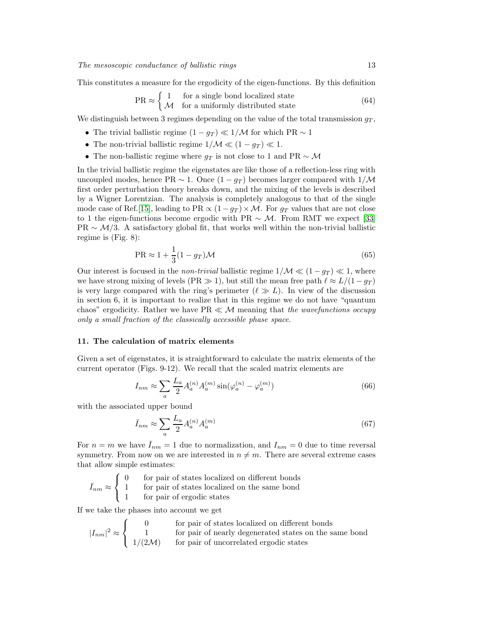This constitutes a measure for the ergodicity of the eigen-functions. By this definition

$$
PR \approx \begin{cases} 1 & \text{for a single bond localized state} \\ \mathcal{M} & \text{for a uniformly distributed state} \end{cases}
$$
 (64)

We distinguish between 3 regimes depending on the value of the total transmission  $g_T$ ,

- The trivial ballistic regime  $(1 q_T) \ll 1/M$  for which PR ~ 1
- The non-trivial ballistic regime  $1/M \ll (1 g_T) \ll 1$ .
- The non-ballistic regime where  $g_T$  is not close to 1 and PR  $\sim \mathcal{M}$

In the trivial ballistic regime the eigenstates are like those of a reflection-less ring with uncoupled modes, hence PR  $\sim$  1. Once  $(1 - g_T)$  becomes larger compared with  $1/M$ first order perturbation theory breaks down, and the mixing of the levels is described by a Wigner Lorentzian. The analysis is completely analogous to that of the single mode case of Ref.[\[15\]](#page-16-1), leading to PR  $\propto (1-g_T) \times M$ . For  $g_T$  values that are not close to 1 the eigen-functions become ergodic with PR  $\sim \mathcal{M}$ . From RMT we expect [\[33\]](#page-16-22)  $PR \sim M/3$ . A satisfactory global fit, that works well within the non-trivial ballistic regime is (Fig. 8):

$$
PR \approx 1 + \frac{1}{3}(1 - g_T)\mathcal{M}
$$
\n(65)

<span id="page-12-0"></span>Our interest is focused in the *non-trivial* ballistic regime  $1/M \ll (1 - q_T) \ll 1$ , where we have strong mixing of levels (PR  $\gg 1$ ), but still the mean free path  $\ell \approx L/(1 - g_T)$ is very large compared with the ring's perimeter  $(\ell \gg L)$ . In view of the discussion in section 6, it is important to realize that in this regime we do not have "quantum chaos" ergodicity. Rather we have PR  $\ll M$  meaning that the wavefunctions occupy only a small fraction of the classically accessible phase space.

## 11. The calculation of matrix elements

Given a set of eigenstates, it is straightforward to calculate the matrix elements of the current operator (Figs. 9-12). We recall that the scaled matrix elements are

$$
I_{nm} \approx \sum_{a} \frac{L_a}{2} A_a^{(n)} A_a^{(m)} \sin(\varphi_a^{(n)} - \varphi_a^{(m)}) \tag{66}
$$

with the associated upper bound

$$
\bar{I}_{nm} \approx \sum_{a} \frac{L_a}{2} A_a^{(n)} A_a^{(m)} \tag{67}
$$

For  $n = m$  we have  $\bar{I}_{nm} = 1$  due to normalization, and  $I_{nm} = 0$  due to time reversal symmetry. From now on we are interested in  $n \neq m$ . There are several extreme cases that allow simple estimates:

|  | for pair of states localized on different bonds                                                           |
|--|-----------------------------------------------------------------------------------------------------------|
|  | $\bar{I}_{nm} \approx \begin{cases} 1 & \text{for pair of states localized on the same bond} \end{cases}$ |
|  | for pair of ergodic states                                                                                |

If we take the phases into account we get

$$
|I_{nm}|^2 \approx \begin{cases} 0 & \text{for pair of states localized on different bonds} \\ 1 & \text{for pair of nearly degenerated states on the same bond} \\ 1/(2\mathcal{M}) & \text{for pair of uncorrelated ergodic states} \end{cases}
$$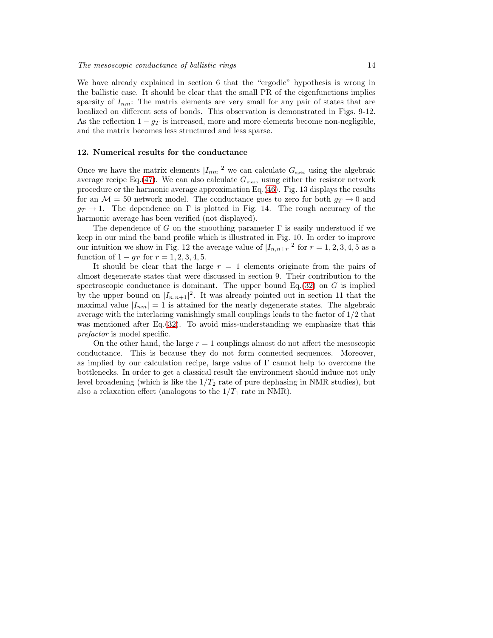We have already explained in section 6 that the "ergodic" hypothesis is wrong in the ballistic case. It should be clear that the small PR of the eigenfunctions implies sparsity of  $I_{nm}$ : The matrix elements are very small for any pair of states that are localized on different sets of bonds. This observation is demonstrated in Figs. 9-12. As the reflection  $1 - g_T$  is increased, more and more elements become non-negligible, and the matrix becomes less structured and less sparse.

#### 12. Numerical results for the conductance

Once we have the matrix elements  $|I_{nm}|^2$  we can calculate  $G_{\text{spec}}$  using the algebraic average recipe Eq.[\(47\)](#page-10-0). We can also calculate  $G_{\text{meso}}$  using either the resistor network procedure or the harmonic average approximation Eq.[\(46\)](#page-9-2). Fig. 13 displays the results for an  $\mathcal{M} = 50$  network model. The conductance goes to zero for both  $g_T \to 0$  and  $g_T \rightarrow 1$ . The dependence on Γ is plotted in Fig. 14. The rough accuracy of the harmonic average has been verified (not displayed).

The dependence of G on the smoothing parameter  $\Gamma$  is easily understood if we keep in our mind the band profile which is illustrated in Fig. 10. In order to improve our intuition we show in Fig. 12 the average value of  $|I_{n,n+r}|^2$  for  $r = 1, 2, 3, 4, 5$  as a function of  $1 - g_T$  for  $r = 1, 2, 3, 4, 5$ .

It should be clear that the large  $r = 1$  elements originate from the pairs of almost degenerate states that were discussed in section 9. Their contribution to the spectroscopic conductance is dominant. The upper bound  $Eq.(32)$  $Eq.(32)$  on G is implied by the upper bound on  $|I_{n,n+1}|^2$ . It was already pointed out in section 11 that the maximal value  $|I_{nm}| = 1$  is attained for the nearly degenerate states. The algebraic average with the interlacing vanishingly small couplings leads to the factor of 1/2 that was mentioned after Eq. [\(32\)](#page-7-1). To avoid miss-understanding we emphasize that this prefactor is model specific.

On the other hand, the large  $r = 1$  couplings almost do not affect the mesoscopic conductance. This is because they do not form connected sequences. Moreover, as implied by our calculation recipe, large value of Γ cannot help to overcome the bottlenecks. In order to get a classical result the environment should induce not only level broadening (which is like the  $1/T_2$  rate of pure dephasing in NMR studies), but also a relaxation effect (analogous to the  $1/T_1$  rate in NMR).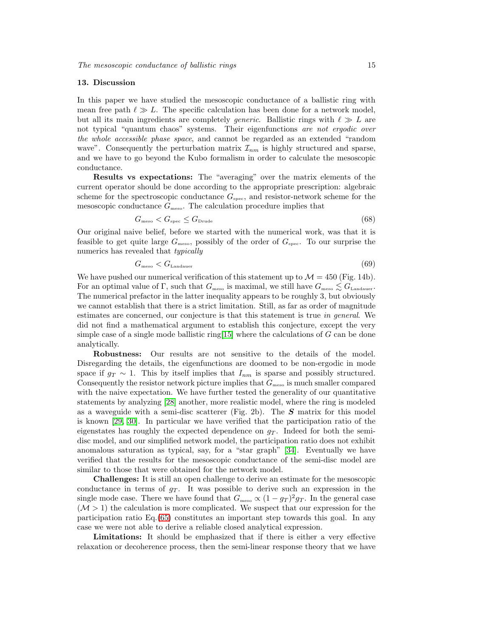#### 13. Discussion

In this paper we have studied the mesoscopic conductance of a ballistic ring with mean free path  $\ell \gg L$ . The specific calculation has been done for a network model, but all its main ingredients are completely *generic*. Ballistic rings with  $\ell \gg L$  are not typical "quantum chaos" systems. Their eigenfunctions are not ergodic over the whole accessible phase space, and cannot be regarded as an extended "random wave". Consequently the perturbation matrix  $\mathcal{I}_{nm}$  is highly structured and sparse, and we have to go beyond the Kubo formalism in order to calculate the mesoscopic conductance.

Results vs expectations: The "averaging" over the matrix elements of the current operator should be done according to the appropriate prescription: algebraic scheme for the spectroscopic conductance  $G_{\text{spec}}$ , and resistor-network scheme for the mesoscopic conductance  $G_{\text{meso}}$ . The calculation procedure implies that

$$
G_{\text{meso}} < G_{\text{spec}} \le G_{\text{Drude}} \tag{68}
$$

Our original naive belief, before we started with the numerical work, was that it is feasible to get quite large  $G_{\text{meso}}$ , possibly of the order of  $G_{\text{spec}}$ . To our surprise the numerics has revealed that *typically* 

$$
G_{\text{meso}} < G_{\text{Landauer}} \tag{69}
$$

We have pushed our numerical verification of this statement up to  $\mathcal{M} = 450$  (Fig. 14b). For an optimal value of Γ, such that  $G_{\text{meso}}$  is maximal, we still have  $G_{\text{meso}} \lesssim G_{\text{Landauer}}$ . The numerical prefactor in the latter inequality appears to be roughly 3, but obviously we cannot establish that there is a strict limitation. Still, as far as order of magnitude estimates are concerned, our conjecture is that this statement is true in general. We did not find a mathematical argument to establish this conjecture, except the very simple case of a single mode ballistic ring [\[15\]](#page-16-1) where the calculations of  $G$  can be done analytically.

Robustness: Our results are not sensitive to the details of the model. Disregarding the details, the eigenfunctions are doomed to be non-ergodic in mode space if  $g_T \sim 1$ . This by itself implies that  $I_{nm}$  is sparse and possibly structured. Consequently the resistor network picture implies that  $G_{\text{meso}}$  is much smaller compared with the naive expectation. We have further tested the generality of our quantitative statements by analyzing [\[28\]](#page-16-18) another, more realistic model, where the ring is modeled as a waveguide with a semi-disc scatterer (Fig. 2b). The  $S$  matrix for this model is known [\[29,](#page-16-16) [30\]](#page-16-17). In particular we have verified that the participation ratio of the eigenstates has roughly the expected dependence on  $q_T$ . Indeed for both the semidisc model, and our simplified network model, the participation ratio does not exhibit anomalous saturation as typical, say, for a "star graph" [\[34\]](#page-16-23). Eventually we have verified that the results for the mesoscopic conductance of the semi-disc model are similar to those that were obtained for the network model.

Challenges: It is still an open challenge to derive an estimate for the mesoscopic conductance in terms of  $q_T$ . It was possible to derive such an expression in the single mode case. There we have found that  $G_{\text{meso}} \propto (1 - g_T)^2 g_T$ . In the general case  $(M > 1)$  the calculation is more complicated. We suspect that our expression for the participation ratio Eq.[\(65\)](#page-12-0) constitutes an important step towards this goal. In any case we were not able to derive a reliable closed analytical expression.

Limitations: It should be emphasized that if there is either a very effective relaxation or decoherence process, then the semi-linear response theory that we have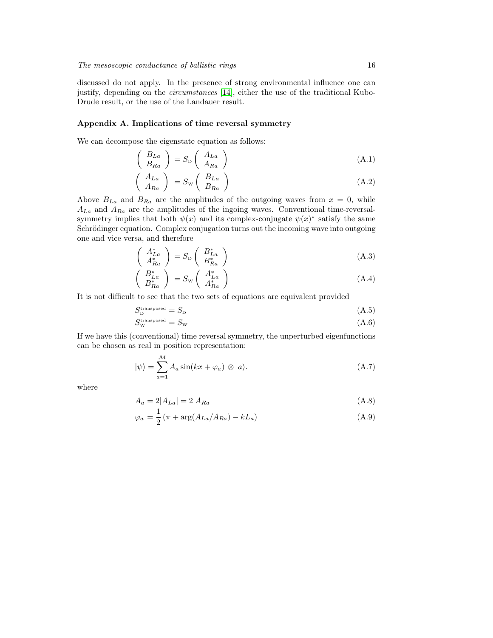discussed do not apply. In the presence of strong environmental influence one can justify, depending on the *circumstances* [\[14\]](#page-16-0), either the use of the traditional Kubo-Drude result, or the use of the Landauer result.

# Appendix A. Implications of time reversal symmetry

We can decompose the eigenstate equation as follows:

$$
\begin{pmatrix} B_{La} \\ B_{Ra} \end{pmatrix} = S_{\rm D} \begin{pmatrix} A_{La} \\ A_{Ra} \end{pmatrix}
$$
 (A.1)

$$
\left(\begin{array}{c} A_{La} \\ A_{Ra} \end{array}\right) = S_{\rm w} \left(\begin{array}{c} B_{La} \\ B_{Ra} \end{array}\right) \tag{A.2}
$$

Above  $B_{La}$  and  $B_{Ra}$  are the amplitudes of the outgoing waves from  $x = 0$ , while  $A_{La}$  and  $A_{Ra}$  are the amplitudes of the ingoing waves. Conventional time-reversalsymmetry implies that both  $\psi(x)$  and its complex-conjugate  $\psi(x)^*$  satisfy the same Schrödinger equation. Complex conjugation turns out the incoming wave into outgoing one and vice versa, and therefore

$$
\begin{pmatrix} A_{La}^* \\ A_{Ra}^* \end{pmatrix} = S_{\mathcal{D}} \begin{pmatrix} B_{La}^* \\ B_{Ra}^* \end{pmatrix}
$$
\n(A.3)

$$
\left(\begin{array}{c} B_{La}^{*} \\ B_{Ra}^{*} \end{array}\right) = S_{\rm w} \left(\begin{array}{c} A_{La}^{*} \\ A_{Ra}^{*} \end{array}\right) \tag{A.4}
$$

It is not difficult to see that the two sets of equations are equivalent provided

$$
S_{\rm D}^{\rm transposed} = S_{\rm D} \tag{A.5}
$$

$$
S_{\rm w}^{\rm transposed} = S_{\rm w} \tag{A.6}
$$

If we have this (conventional) time reversal symmetry, the unperturbed eigenfunctions can be chosen as real in position representation:

$$
|\psi\rangle = \sum_{a=1}^{M} A_a \sin(kx + \varphi_a) \otimes |a\rangle.
$$
 (A.7)

where

$$
A_a = 2|A_{La}| = 2|A_{Ra}| \tag{A.8}
$$

$$
\varphi_a = \frac{1}{2} \left( \pi + \arg(A_{La}/A_{Ra}) - kL_a \right) \tag{A.9}
$$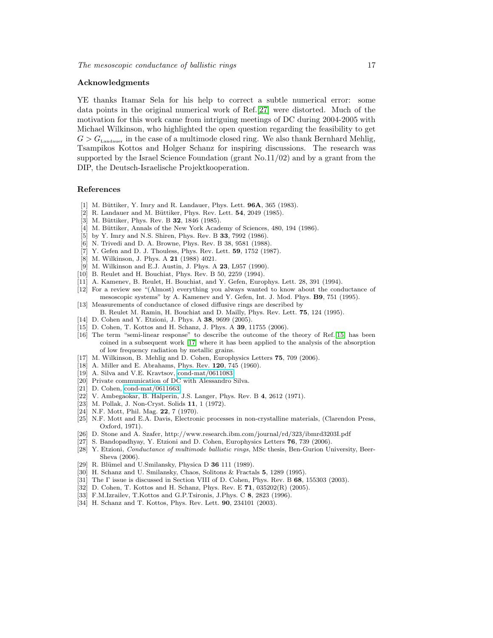#### Acknowledgments

YE thanks Itamar Sela for his help to correct a subtle numerical error: some data points in the original numerical work of Ref.[\[27\]](#page-16-15) were distorted. Much of the motivation for this work came from intriguing meetings of DC during 2004-2005 with Michael Wilkinson, who highlighted the open question regarding the feasibility to get  $G > G<sub>Landauer</sub>$  in the case of a multimode closed ring. We also thank Bernhard Mehlig, Tsampikos Kottos and Holger Schanz for inspiring discussions. The research was supported by the Israel Science Foundation (grant No.11/02) and by a grant from the DIP, the Deutsch-Israelische Projektkooperation.

## References

- [1] M. Büttiker, Y. Imry and R. Landauer, Phys. Lett. **96A**, 365 (1983).
- $[2]$  R. Landauer and M. Büttiker, Phys. Rev. Lett.  $54$ ,  $2049$  (1985).
- [3] M. Büttiker, Phys. Rev. B 32, 1846 (1985).
- <span id="page-16-20"></span>[4] M. Büttiker, Annals of the New York Academy of Sciences, 480, 194 (1986).
- [5] by Y. Imry and N.S. Shiren, Phys. Rev. B 33, 7992 (1986).
- [6] N. Trivedi and D. A. Browne, Phys. Rev. B 38, 9581 (1988).<br>[7] Y. Gefen and D. J. Thouless, Phys. Rev. Lett. **59**, 1752 (19).
- Y. Gefen and D. J. Thouless, Phys. Rev. Lett. **59**, 1752 (1987).
- [8] M. Wilkinson, J. Phys. A 21 (1988) 4021.
- [9] M. Wilkinson and E.J. Austin, J. Phys. A **23**, L957 (1990).
- [10] B. Reulet and H. Bouchiat, Phys. Rev. B 50, 2259 (1994).
- [11] A. Kamenev, B. Reulet, H. Bouchiat, and Y. Gefen, Europhys. Lett. 28, 391 (1994).
- <span id="page-16-3"></span>[12] For a review see "(Almost) everything you always wanted to know about the conductance of mesoscopic systems" by A. Kamenev and Y. Gefen, Int. J. Mod. Phys. B9, 751 (1995).
- <span id="page-16-2"></span>[13] Measurements of conductance of closed diffusive rings are described by B. Reulet M. Ramin, H. Bouchiat and D. Mailly, Phys. Rev. Lett. 75, 124 (1995).
- <span id="page-16-1"></span><span id="page-16-0"></span>[14] D. Cohen and Y. Etzioni, J. Phys. A 38, 9699 (2005).
- <span id="page-16-4"></span>[15] D. Cohen, T. Kottos and H. Schanz, J. Phys. A 39, 11755 (2006).
- [16] The term "semi-linear response" to describe the outcome of the theory of Ref.[\[15\]](#page-16-1) has been coined in a subsequent work [\[17\]](#page-16-5) where it has been applied to the analysis of the absorption of low frequency radiation by metallic grains.
- <span id="page-16-6"></span><span id="page-16-5"></span>[17] M. Wilkinson, B. Mehlig and D. Cohen, Europhysics Letters 75, 709 (2006).
- [18] A. Miller and E. Abrahams, Phys. Rev. 120, 745 (1960).
- <span id="page-16-8"></span><span id="page-16-7"></span>[19] A. Silva and V.E. Kravtsov, [cond-mat/0611083.](http://arxiv.org/abs/cond-mat/0611083)
- <span id="page-16-9"></span>[20] Private communication of DC with Alessandro Silva.
- <span id="page-16-10"></span>[21] D. Cohen, [cond-mat/0611663.](http://arxiv.org/abs/cond-mat/0611663)
- [22] V. Ambegaokar, B. Halperin, J.S. Langer, Phys. Rev. B 4, 2612 (1971).
- <span id="page-16-12"></span><span id="page-16-11"></span>[23] M. Pollak, J. Non-Cryst. Solids 11, 1 (1972).
- <span id="page-16-13"></span>[24] N.F. Mott, Phil. Mag. **22**, 7 (1970).
- [25] N.F. Mott and E.A. Davis, Electronic processes in non-crystalline materials, (Clarendon Press, Oxford, 1971).
- <span id="page-16-15"></span><span id="page-16-14"></span>[26] D. Stone and A. Szafer, http://www.research.ibm.com/journal/rd/323/ibmrd3203I.pdf
- <span id="page-16-18"></span>[27] S. Bandopadhyay, Y. Etzioni and D. Cohen, Europhysics Letters 76, 739 (2006).
- [28] Y. Etzioni, Conductance of multimode ballistic rings, MSc thesis, Ben-Gurion University, Beer-Sheva (2006).
- <span id="page-16-17"></span><span id="page-16-16"></span>[29] R. Blümel and U.Smilansky, Physica D 36 111 (1989).
- <span id="page-16-19"></span>[30] H. Schanz and U. Smilansky, Chaos, Solitons & Fractals 5, 1289 (1995).
- <span id="page-16-21"></span>[31] The Γ issue is discussed in Section VIII of D. Cohen, Phys. Rev. B 68, 155303 (2003).
- [32] D. Cohen, T. Kottos and H. Schanz, Phys. Rev. E 71, 035202(R) (2005).
- <span id="page-16-23"></span><span id="page-16-22"></span>[33] F.M.Izrailev, T.Kottos and G.P.Tsironis, J.Phys. C 8, 2823 (1996).
- [34] H. Schanz and T. Kottos, Phys. Rev. Lett. 90, 234101 (2003).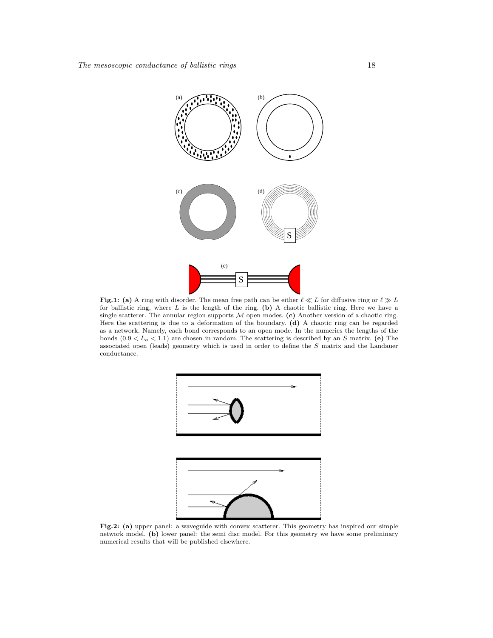

**Fig.1:** (a) A ring with disorder. The mean free path can be either  $\ell \ll L$  for diffusive ring or  $\ell \gg L$ for ballistic ring, where  $L$  is the length of the ring. (b) A chaotic ballistic ring. Here we have a single scatterer. The annular region supports  $M$  open modes. (c) Another version of a chaotic ring. Here the scattering is due to a deformation of the boundary. (d) A chaotic ring can be regarded as a network. Namely, each bond corresponds to an open mode. In the numerics the lengths of the bonds  $(0.9 < L_a < 1.1)$  are chosen in random. The scattering is described by an S matrix. (e) The associated open (leads) geometry which is used in order to define the S matrix and the Landauer conductance.



Fig.2: (a) upper panel: a waveguide with convex scatterer. This geometry has inspired our simple network model. (b) lower panel: the semi disc model. For this geometry we have some preliminary numerical results that will be published elsewhere.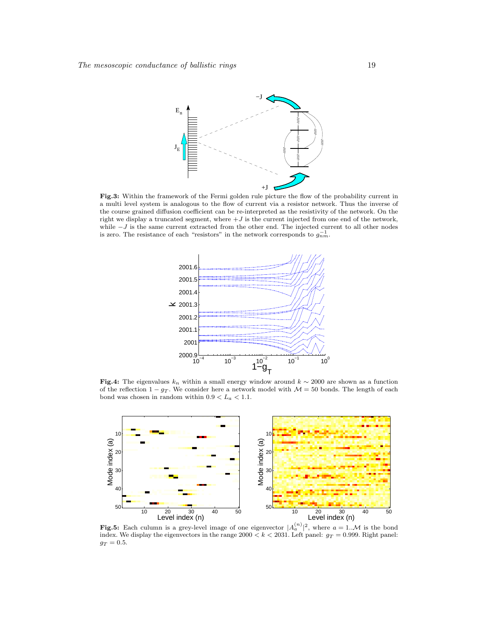

Fig.3: Within the framework of the Fermi golden rule picture the flow of the probability current in a multi level system is analogous to the flow of current via a resistor network. Thus the inverse of the course grained diffusion coefficient can be re-interpreted as the resistivity of the network. On the right we display a truncated segment, where  $+J$  is the current injected from one end of the network, while −J is the same current extracted from the other end. The injected current to all other nodes is zero. The resistance of each "resistors" in the network corresponds to  $g_{nm}^{-1}$ .



Fig.4: The eigenvalues  $k_n$  within a small energy window around  $k \sim 2000$  are shown as a function of the reflection  $1 - g_T$ . We consider here a network model with  $\mathcal{M} = 50$  bonds. The length of each bond was chosen in random within  $0.9 < L_a < 1.1$ .



**Fig.5:** Each culumn is a grey-level image of one eigenvector  $|A_a^{(n)}|^2$ , where  $a = 1 \dots M$  is the bond index. We display the eigenvectors in the range  $2000 < k < 2031$ . Left panel:  $g_T = 0.999$ . Right panel:  $g_T = 0.5$ .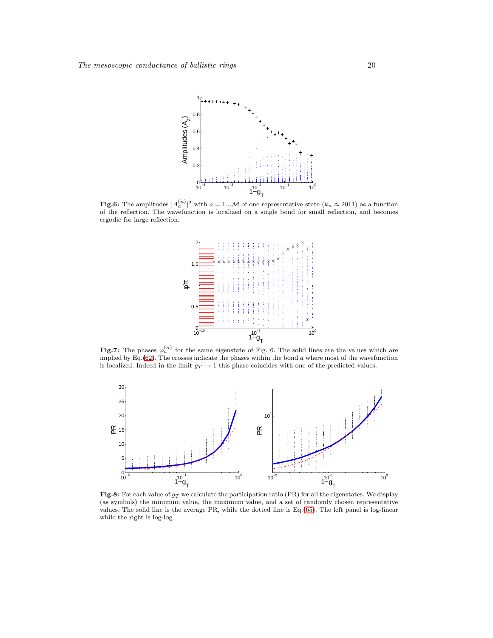

**Fig.6:** The amplitudes  $|A_a^{(n)}|^2$  with  $a = 1...M$  of one representative state  $(k_n \approx 2011)$  as a function of the reflection. The wavefunction is localized on a single bond for small reflection, and becomes ergodic for large reflection.



**Fig.7:** The phases  $\varphi_a^{(n)}$  for the same eigenstate of Fig. 6. The solid lines are the values which are implied by Eq.[\(62\)](#page-11-0). The crosses indicate the phases within the bond  $a$  where most of the wavefunction is localized. Indeed in the limit  $g_T \to 1$  this phase coincides with one of the predicted values.



Fig.8: For each value of  $g_T$  we calculate the participation ratio (PR) for all the eigenstates. We display (as symbols) the minimum value, the maximum value, and a set of randomly chosen representative values. The solid line is the average PR, while the dotted line is Eq.[\(65\)](#page-12-0). The left panel is log-linear while the right is log-log.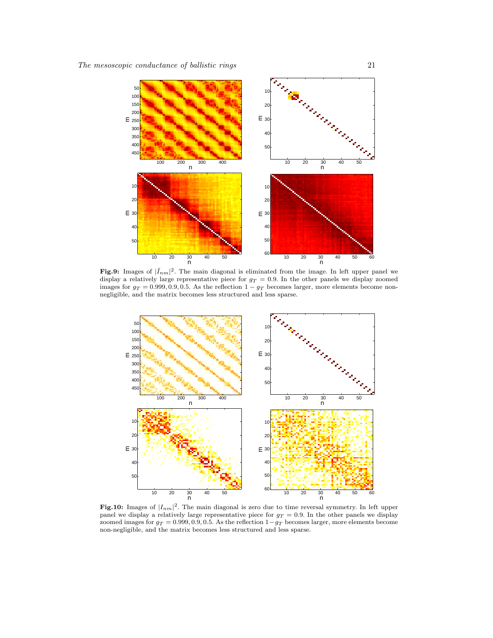

Fig.9: Images of  $|\bar{I}_{nm}|^2$ . The main diagonal is eliminated from the image. In left upper panel we display a relatively large representative piece for  $g_T = 0.9$ . In the other panels we display zoomed images for  $g_T = 0.999, 0.9, 0.5$ . As the reflection  $1 - g_T$  becomes larger, more elements become nonnegligible, and the matrix becomes less structured and less sparse.



**Fig.10:** Images of  $|I_{nm}|^2$ . The main diagonal is zero due to time reversal symmetry. In left upper panel we display a relatively large representative piece for  $g_T = 0.9$ . In the other panels we display zoomed images for  $g_T = 0.999, 0.9, 0.5$ . As the reflection  $1-g_T$  becomes larger, more elements become non-negligible, and the matrix becomes less structured and less sparse.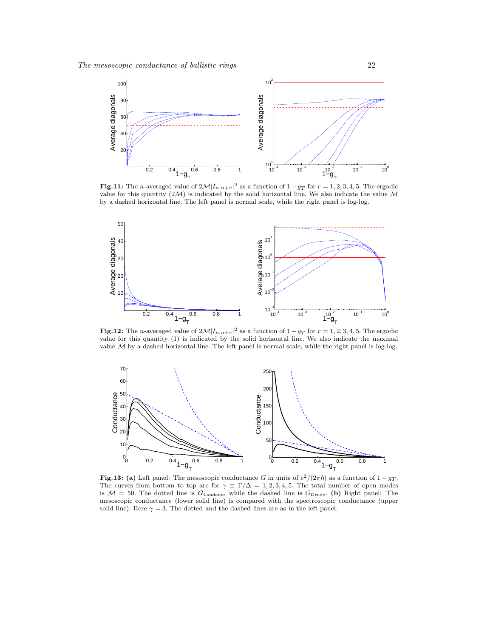

**Fig.11:** The *n*-averaged value of  $2\mathcal{M}|\bar{I}_{n,n+r}|^2$  as a function of  $1 - g_T$  for  $r = 1, 2, 3, 4, 5$ . The ergodic value for this quantity  $(2M)$  is indicated by the solid horizontal line. We also indicate the value M by a dashed horizontal line. The left panel is normal scale, while the right panel is log-log.



**Fig.12:** The n-averaged value of  $2\mathcal{M}|I_{n,n+r}|^2$  as a function of  $1 - g_T$  for  $r = 1, 2, 3, 4, 5$ . The ergodic value for this quantity (1) is indicated by the solid horizontal line. We also indicate the maximal value  $M$  by a dashed horizontal line. The left panel is normal scale, while the right panel is log-log.



**Fig.13:** (a) Left panel: The mesoscopic conductance G in units of  $e^2/(2\pi\hbar)$  as a function of  $1 - g_T$ . The curves from bottom to top are for  $\gamma \equiv \Gamma/\Delta = 1, 2, 3, 4, 5$ . The total number of open modes is  $M = 50$ . The dotted line is  $G_{\text{Landauer}}$  while the dashed line is  $G_{\text{Drude}}$ . (b) Right panel: The mesoscopic conductance (lower solid line) is compared with the spectroscopic conductance (upper solid line). Here  $\gamma = 3$ . The dotted and the dashed lines are as in the left panel.